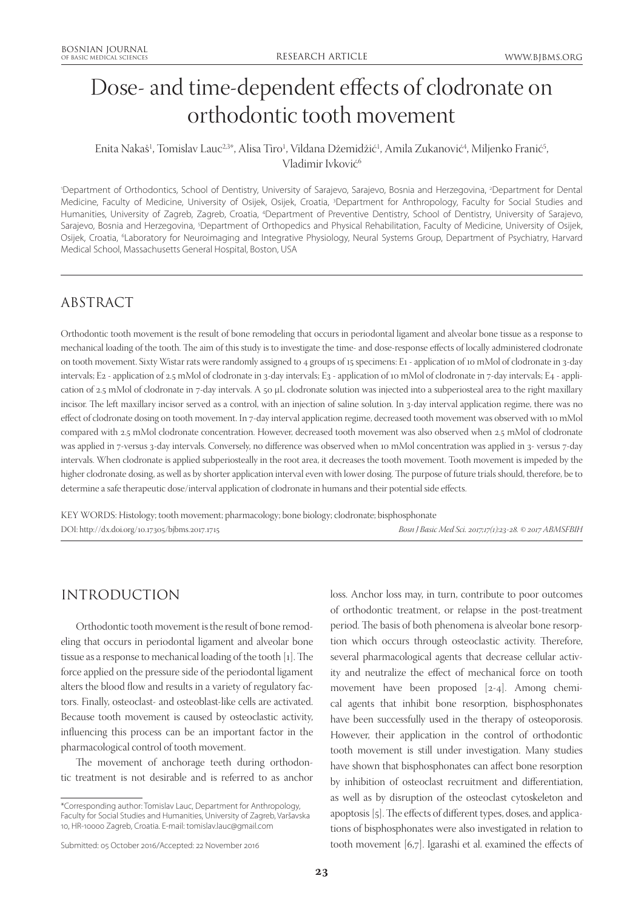# Dose- and time-dependent effects of clodronate on orthodontic tooth movement

## Enita Nakaš<sup>1</sup>, Tomislav Lauc<sup>2,3</sup>\*, Alisa Tiro<sup>1</sup>, Vildana Džemidžić<sup>1</sup>, Amila Zukanović<sup>4</sup>, Miljenko Franić<sup>5</sup>, Vladimir Ivković<sup>6</sup>

1 Department of Orthodontics, School of Dentistry, University of Sarajevo, Sarajevo, Bosnia and Herzegovina, 2 Department for Dental Medicine, Faculty of Medicine, University of Osijek, Osijek, Croatia, 3 Department for Anthropology, Faculty for Social Studies and Humanities, University of Zagreb, Zagreb, Croatia, <sup>4</sup>Department of Preventive Dentistry, School of Dentistry, University of Sarajevo, Sarajevo, Bosnia and Herzegovina, <sup>5</sup>Department of Orthopedics and Physical Rehabilitation, Faculty of Medicine, University of Osijek, Osijek, Croatia, <sup>6</sup>Laboratory for Neuroimaging and Integrative Physiology, Neural Systems Group, Department of Psychiatry, Harvard Medical School, Massachusetts General Hospital, Boston, USA

# ABSTRACT

Orthodontic tooth movement is the result of bone remodeling that occurs in periodontal ligament and alveolar bone tissue as a response to mechanical loading of the tooth. The aim of this study is to investigate the time- and dose-response effects of locally administered clodronate on tooth movement. Sixty Wistar rats were randomly assigned to 4 groups of 15 specimens: E1 - application of 10 mMol of clodronate in 3-day intervals; E2 - application of 2.5 mMol of clodronate in 3-day intervals; E3 - application of 10 mMol of clodronate in 7-day intervals; E4 - application of 2.5 mMol of clodronate in 7-day intervals. A 50 μL clodronate solution was injected into a subperiosteal area to the right maxillary incisor. The left maxillary incisor served as a control, with an injection of saline solution. In 3-day interval application regime, there was no effect of clodronate dosing on tooth movement. In 7-day interval application regime, decreased tooth movement was observed with 10 mMol compared with 2.5 mMol clodronate concentration. However, decreased tooth movement was also observed when 2.5 mMol of clodronate was applied in 7-versus 3-day intervals. Conversely, no difference was observed when 10 mMol concentration was applied in 3- versus 7-day intervals. When clodronate is applied subperiosteally in the root area, it decreases the tooth movement. Tooth movement is impeded by the higher clodronate dosing, as well as by shorter application interval even with lower dosing. The purpose of future trials should, therefore, be to determine a safe therapeutic dose/interval application of clodronate in humans and their potential side effects.

KEY WORDS: Histology; tooth movement; pharmacology; bone biology; clodronate; bisphosphonate DOI: http://dx.doi.org/10.17305/bjbms.2017.1715 *Bosn J Basic Med Sci. 2017;17(1):23-28. © 2017 ABMSFBIH*

# INTRODUCTION

Orthodontic tooth movement is the result of bone remodeling that occurs in periodontal ligament and alveolar bone tissue as a response to mechanical loading of the tooth [1]. The force applied on the pressure side of the periodontal ligament alters the blood flow and results in a variety of regulatory factors. Finally, osteoclast- and osteoblast-like cells are activated. Because tooth movement is caused by osteoclastic activity, influencing this process can be an important factor in the pharmacological control of tooth movement.

The movement of anchorage teeth during orthodontic treatment is not desirable and is referred to as anchor loss. Anchor loss may, in turn, contribute to poor outcomes of orthodontic treatment, or relapse in the post-treatment period. The basis of both phenomena is alveolar bone resorption which occurs through osteoclastic activity. Therefore, several pharmacological agents that decrease cellular activity and neutralize the effect of mechanical force on tooth movement have been proposed [2-4]. Among chemical agents that inhibit bone resorption, bisphosphonates have been successfully used in the therapy of osteoporosis. However, their application in the control of orthodontic tooth movement is still under investigation. Many studies have shown that bisphosphonates can affect bone resorption by inhibition of osteoclast recruitment and differentiation, as well as by disruption of the osteoclast cytoskeleton and apoptosis [5]. The effects of different types, doses, and applications of bisphosphonates were also investigated in relation to tooth movement [6,7]. Igarashi et al. examined the effects of

<sup>\*</sup>Corresponding author: Tomislav Lauc, Department for Anthropology, Faculty for Social Studies and Humanities, University of Zagreb, Varšavska 10, HR-10000 Zagreb, Croatia. E-mail: tomislav.lauc@gmail.com

Submitted: 05 October 2016/Accepted: 22 November 2016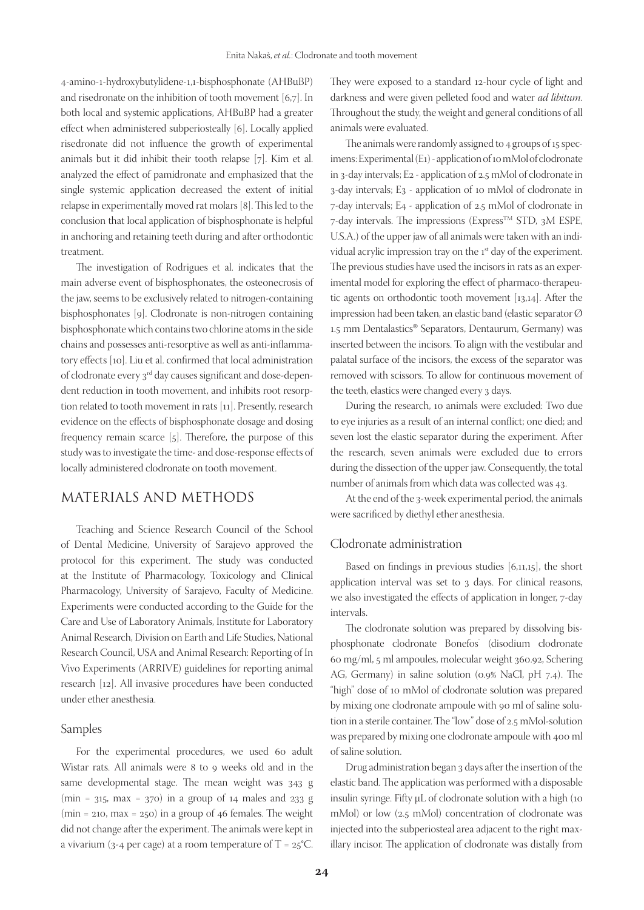4-amino-1-hydroxybutylidene-1,1-bisphosphonate (AHBuBP) and risedronate on the inhibition of tooth movement [6,7]. In both local and systemic applications, AHBuBP had a greater effect when administered subperiosteally [6]. Locally applied risedronate did not influence the growth of experimental animals but it did inhibit their tooth relapse [7]. Kim et al. analyzed the effect of pamidronate and emphasized that the single systemic application decreased the extent of initial relapse in experimentally moved rat molars [8]. This led to the conclusion that local application of bisphosphonate is helpful in anchoring and retaining teeth during and after orthodontic treatment.

The investigation of Rodrigues et al. indicates that the main adverse event of bisphosphonates, the osteonecrosis of the jaw, seems to be exclusively related to nitrogen-containing bisphosphonates [9]. Clodronate is non-nitrogen containing bisphosphonate which contains two chlorine atoms in the side chains and possesses anti-resorptive as well as anti-inflammatory effects [10]. Liu et al. confirmed that local administration of clodronate every 3rd day causes significant and dose-dependent reduction in tooth movement, and inhibits root resorption related to tooth movement in rats [11]. Presently, research evidence on the effects of bisphosphonate dosage and dosing frequency remain scarce [5]. Therefore, the purpose of this study was to investigate the time- and dose-response effects of locally administered clodronate on tooth movement.

# MATERIALS AND METHODS

Teaching and Science Research Council of the School of Dental Medicine, University of Sarajevo approved the protocol for this experiment. The study was conducted at the Institute of Pharmacology, Toxicology and Clinical Pharmacology, University of Sarajevo, Faculty of Medicine. Experiments were conducted according to the Guide for the Care and Use of Laboratory Animals, Institute for Laboratory Animal Research, Division on Earth and Life Studies, National Research Council, USA and Animal Research: Reporting of In Vivo Experiments (ARRIVE) guidelines for reporting animal research [12]. All invasive procedures have been conducted under ether anesthesia.

#### Samples

For the experimental procedures, we used 60 adult Wistar rats. All animals were 8 to 9 weeks old and in the same developmental stage. The mean weight was 343 g (min =  $315$ , max =  $370$ ) in a group of  $14$  males and  $233$  g (min = 210, max = 250) in a group of 46 females. The weight did not change after the experiment. The animals were kept in a vivarium (3-4 per cage) at a room temperature of  $T = 25^{\circ}C$ .

They were exposed to a standard 12-hour cycle of light and darkness and were given pelleted food and water *ad libitum*. Throughout the study, the weight and general conditions of all animals were evaluated.

The animals were randomly assigned to 4 groups of 15 specimens: Experimental (E1) - application of 10 mMol of clodronate in 3-day intervals; E2 - application of 2.5 mMol of clodronate in 3-day intervals; E3 - application of 10 mMol of clodronate in 7-day intervals; E4 - application of 2.5 mMol of clodronate in  $7$ -day intervals. The impressions (Express<sup>TM</sup> STD, 3M ESPE, U.S.A.) of the upper jaw of all animals were taken with an individual acrylic impression tray on the 1<sup>st</sup> day of the experiment. The previous studies have used the incisors in rats as an experimental model for exploring the effect of pharmaco-therapeutic agents on orthodontic tooth movement [13,14]. After the impression had been taken, an elastic band (elastic separator Ø 1.5 mm Dentalastics® Separators, Dentaurum, Germany) was inserted between the incisors. To align with the vestibular and palatal surface of the incisors, the excess of the separator was removed with scissors. To allow for continuous movement of the teeth, elastics were changed every 3 days.

During the research, 10 animals were excluded: Two due to eye injuries as a result of an internal conflict; one died; and seven lost the elastic separator during the experiment. After the research, seven animals were excluded due to errors during the dissection of the upper jaw. Consequently, the total number of animals from which data was collected was 43.

At the end of the 3-week experimental period, the animals were sacrificed by diethyl ether anesthesia.

#### Clodronate administration

Based on findings in previous studies [6,11,15], the short application interval was set to 3 days. For clinical reasons, we also investigated the effects of application in longer, 7-day intervals.

The clodronate solution was prepared by dissolving bisphosphonate clodronate Bonefos® (disodium clodronate 60 mg/ml, 5 ml ampoules, molecular weight 360.92, Schering AG, Germany) in saline solution (0.9% NaCl, pH 7.4). The "high" dose of 10 mMol of clodronate solution was prepared by mixing one clodronate ampoule with 90 ml of saline solution in a sterile container. The "low" dose of 2.5 mMol-solution was prepared by mixing one clodronate ampoule with 400 ml of saline solution.

Drug administration began 3 days after the insertion of the elastic band. The application was performed with a disposable insulin syringe. Fifty μL of clodronate solution with a high (10 mMol) or low (2.5 mMol) concentration of clodronate was injected into the subperiosteal area adjacent to the right maxillary incisor. The application of clodronate was distally from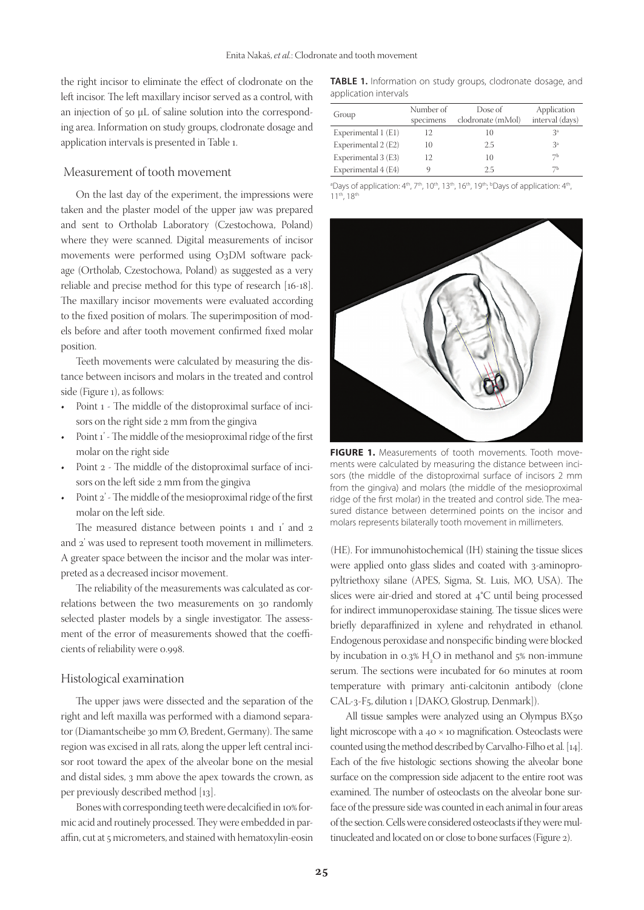the right incisor to eliminate the effect of clodronate on the left incisor. The left maxillary incisor served as a control, with an injection of 50 μL of saline solution into the corresponding area. Information on study groups, clodronate dosage and application intervals is presented in Table 1.

#### Measurement of tooth movement

On the last day of the experiment, the impressions were taken and the plaster model of the upper jaw was prepared and sent to Ortholab Laboratory (Czestochowa, Poland) where they were scanned. Digital measurements of incisor movements were performed using O3DM software package (Ortholab, Czestochowa, Poland) as suggested as a very reliable and precise method for this type of research [16-18]. The maxillary incisor movements were evaluated according to the fixed position of molars. The superimposition of models before and after tooth movement confirmed fixed molar position.

Teeth movements were calculated by measuring the distance between incisors and molars in the treated and control side (Figure 1), as follows:

- • Point 1 The middle of the distoproximal surface of incisors on the right side 2 mm from the gingiva
- Point 1' The middle of the mesioproximal ridge of the first molar on the right side
- Point 2 The middle of the distoproximal surface of incisors on the left side 2 mm from the gingiva
- Point 2' The middle of the mesioproximal ridge of the first molar on the left side.

The measured distance between points 1 and 1' and 2 and 2' was used to represent tooth movement in millimeters. A greater space between the incisor and the molar was interpreted as a decreased incisor movement.

The reliability of the measurements was calculated as correlations between the two measurements on 30 randomly selected plaster models by a single investigator. The assessment of the error of measurements showed that the coefficients of reliability were 0.998.

#### Histological examination

The upper jaws were dissected and the separation of the right and left maxilla was performed with a diamond separator (Diamantscheibe 30 mm Ø, Bredent, Germany). The same region was excised in all rats, along the upper left central incisor root toward the apex of the alveolar bone on the mesial and distal sides, 3 mm above the apex towards the crown, as per previously described method [13].

Bones with corresponding teeth were decalcified in 10% formic acid and routinely processed. They were embedded in paraffin, cut at 5 micrometers, and stained with hematoxylin-eosin

**TABLE 1.** Information on study groups, clodronate dosage, and application intervals

| Group               | Number of<br>specimens | Dose of<br>clodronate (mMol) | Application<br>interval (days) |
|---------------------|------------------------|------------------------------|--------------------------------|
| Experimental 1 (E1) | 12                     | 10                           | Зª                             |
| Experimental 2 (E2) | 10                     | 2.5                          | 3 <sup>a</sup>                 |
| Experimental 3 (E3) | 12                     | 10                           | 7Ь                             |
| Experimental 4 (E4) |                        | 25                           | 7Ь                             |

<sup>a</sup>Days of application: 4<sup>th</sup>, 7<sup>th</sup>, 10<sup>th</sup>, 13<sup>th</sup>, 19<sup>th</sup>, <sup>b</sup>Days of application: 4<sup>th</sup>, 11th, 18th



FIGURE 1. Measurements of tooth movements. Tooth movements were calculated by measuring the distance between incisors (the middle of the distoproximal surface of incisors 2 mm from the gingiva) and molars (the middle of the mesioproximal ridge of the first molar) in the treated and control side. The measured distance between determined points on the incisor and molars represents bilaterally tooth movement in millimeters.

(HE). For immunohistochemical (IH) staining the tissue slices were applied onto glass slides and coated with 3-aminopropyltriethoxy silane (APES, Sigma, St. Luis, MO, USA). The slices were air-dried and stored at 4°C until being processed for indirect immunoperoxidase staining. The tissue slices were briefly deparaffinized in xylene and rehydrated in ethanol. Endogenous peroxidase and nonspecific binding were blocked by incubation in 0.3%  $H_2O$  in methanol and 5% non-immune serum. The sections were incubated for 60 minutes at room temperature with primary anti-calcitonin antibody (clone CAL-3-F5, dilution 1 [DAKO, Glostrup, Denmark]).

All tissue samples were analyzed using an Olympus BX50 light microscope with a 40 × 10 magnification. Osteoclasts were counted using the method described by Carvalho-Filho et al. [14]. Each of the five histologic sections showing the alveolar bone surface on the compression side adjacent to the entire root was examined. The number of osteoclasts on the alveolar bone surface of the pressure side was counted in each animal in four areas of the section. Cells were considered osteoclasts if they were multinucleated and located on or close to bone surfaces (Figure 2).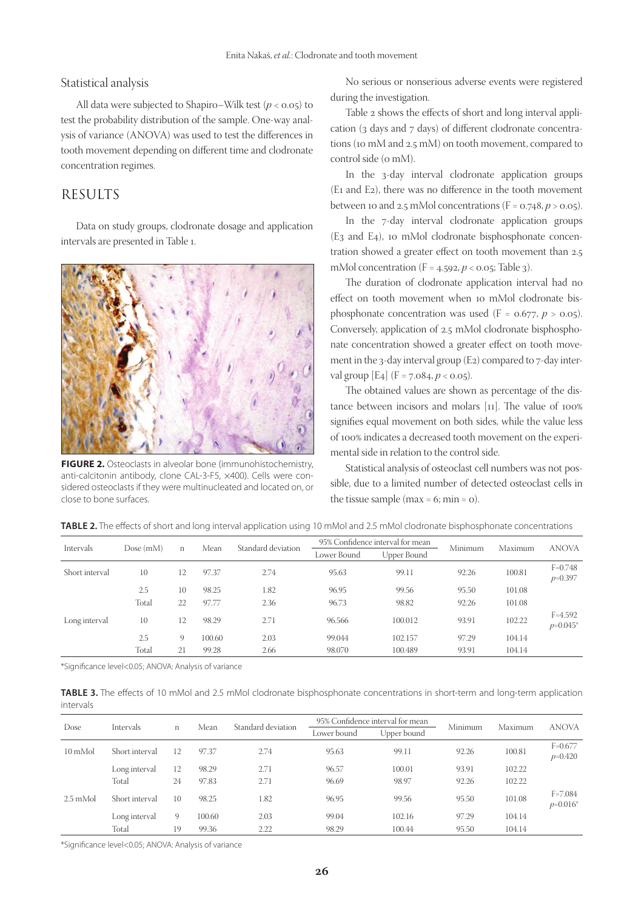#### Statistical analysis

All data were subjected to Shapiro–Wilk test  $(p < 0.05)$  to test the probability distribution of the sample. One-way analysis of variance (ANOVA) was used to test the differences in tooth movement depending on different time and clodronate concentration regimes.

## RESULTS

Data on study groups, clodronate dosage and application intervals are presented in Table 1.



**FIGURE 2.** Osteoclasts in alveolar bone (immunohistochemistry, anti-calcitonin antibody, clone CAL-3-F5, ×400). Cells were considered osteoclasts if they were multinucleated and located on, or close to bone surfaces.

No serious or nonserious adverse events were registered during the investigation.

Table 2 shows the effects of short and long interval application (3 days and 7 days) of different clodronate concentrations (10 mM and 2.5 mM) on tooth movement, compared to control side (o mM).

In the 3-day interval clodronate application groups (E1 and E2), there was no difference in the tooth movement between 10 and 2.5 mMol concentrations  $(F = 0.748, p > 0.05)$ .

In the 7-day interval clodronate application groups (E3 and E4), 10 mMol clodronate bisphosphonate concentration showed a greater effect on tooth movement than 2.5 mMol concentration (F = 4.592, *p* < 0.05; Table 3).

The duration of clodronate application interval had no effect on tooth movement when 10 mMol clodronate bisphosphonate concentration was used  $(F = 0.677, p > 0.05)$ . Conversely, application of 2.5 mMol clodronate bisphosphonate concentration showed a greater effect on tooth movement in the 3-day interval group (E2) compared to 7-day interval group  $[E_4]$   $(F = 7.084, p < 0.05)$ .

The obtained values are shown as percentage of the distance between incisors and molars [11]. The value of 100% signifies equal movement on both sides, while the value less of 100% indicates a decreased tooth movement on the experimental side in relation to the control side.

Statistical analysis of osteoclast cell numbers was not possible, due to a limited number of detected osteoclast cells in the tissue sample ( $max = 6$ ;  $min = 0$ ).

| <b>INDEE 2.</b> THE CHECKS OF SHOTE and forty interval application asing TO million and 2.9 million croatomate bispriosphonate contentiations |          |             |        |                    |                                  |             |         |         |                           |
|-----------------------------------------------------------------------------------------------------------------------------------------------|----------|-------------|--------|--------------------|----------------------------------|-------------|---------|---------|---------------------------|
| Intervals                                                                                                                                     | Dose(mM) |             | Mean   | Standard deviation | 95% Confidence interval for mean |             | Minimum | Maximum | <b>ANOVA</b>              |
|                                                                                                                                               |          | n           |        |                    | Lower Bound                      | Upper Bound |         |         |                           |
| Short interval                                                                                                                                | 10       | 12          | 97.37  | 2.74               | 95.63                            | 99.11       | 92.26   | 100.81  | $F=0.748$<br>$p=0.397$    |
|                                                                                                                                               | 2.5      | 10          | 98.25  | 1.82               | 96.95                            | 99.56       | 95.50   | 101.08  |                           |
|                                                                                                                                               | Total    | 22          | 97.77  | 2.36               | 96.73                            | 98.82       | 92.26   | 101.08  |                           |
| Long interval                                                                                                                                 | 10       | 12          | 98.29  | 2.71               | 96.566                           | 100.012     | 93.91   | 102.22  | $F = 4.592$<br>$p=0.045*$ |
|                                                                                                                                               | 2.5      | $\mathbf Q$ | 100.60 | 2.03               | 99.044                           | 102.157     | 97.29   | 104.14  |                           |

**TABLE 2.** The effects of short and long interval application using 10 mMol and 2.5 mMol clodronate bisphosphonate concentrations

\*Significance level<0.05; ANOVA: Analysis of variance

**TABLE 3.** The effects of 10 mMol and 2.5 mMol clodronate bisphosphonate concentrations in short-term and long-term application intervals

Total 21 99.28 2.66 98.070 100.489 93.91 104.14

| Dose               | Intervals      | n  | Mean   | Standard deviation | 95% Confidence interval for mean |             |         |         | <b>ANOVA</b>               |
|--------------------|----------------|----|--------|--------------------|----------------------------------|-------------|---------|---------|----------------------------|
|                    |                |    |        |                    | Lower bound                      | Upper bound | Minimum | Maximum |                            |
| 10 mMol            | Short interval | 12 | 97.37  | 2.74               | 95.63                            | 99.11       | 92.26   | 100.81  | $F = 0.677$<br>$p=0.420$   |
|                    | Long interval  | 12 | 98.29  | 2.71               | 96.57                            | 100.01      | 93.91   | 102.22  |                            |
|                    | Total          | 24 | 97.83  | 2.71               | 96.69                            | 98.97       | 92.26   | 102.22  |                            |
| $2.5 \text{ mMol}$ | Short interval | 10 | 98.25  | 1.82               | 96.95                            | 99.56       | 95.50   | 101.08  | $F = 7.084$<br>$p=0.016^*$ |
|                    | Long interval  | 9  | 100.60 | 2.03               | 99.04                            | 102.16      | 97.29   | 104.14  |                            |
|                    | Total          | 19 | 99.36  | 2.22               | 98.29                            | 100.44      | 95.50   | 104.14  |                            |

\*Significance level<0.05; ANOVA: Analysis of variance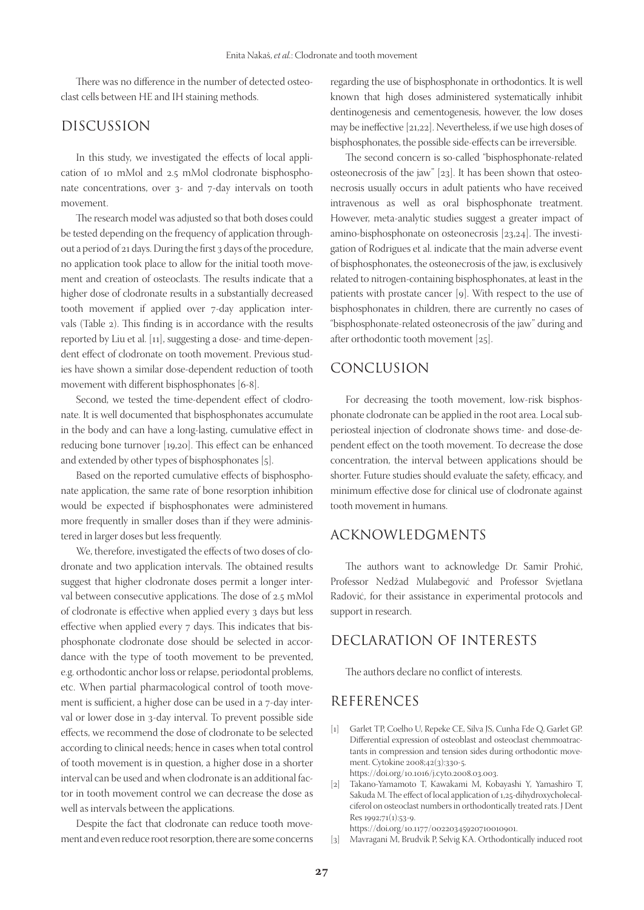There was no difference in the number of detected osteoclast cells between HE and IH staining methods.

# DISCUSSION

In this study, we investigated the effects of local application of 10 mMol and 2.5 mMol clodronate bisphosphonate concentrations, over 3- and 7-day intervals on tooth movement.

The research model was adjusted so that both doses could be tested depending on the frequency of application throughout a period of 21 days. During the first 3 days of the procedure, no application took place to allow for the initial tooth movement and creation of osteoclasts. The results indicate that a higher dose of clodronate results in a substantially decreased tooth movement if applied over 7-day application intervals (Table 2). This finding is in accordance with the results reported by Liu et al. [11], suggesting a dose- and time-dependent effect of clodronate on tooth movement. Previous studies have shown a similar dose-dependent reduction of tooth movement with different bisphosphonates [6-8].

Second, we tested the time-dependent effect of clodronate. It is well documented that bisphosphonates accumulate in the body and can have a long-lasting, cumulative effect in reducing bone turnover [19,20]. This effect can be enhanced and extended by other types of bisphosphonates [5].

Based on the reported cumulative effects of bisphosphonate application, the same rate of bone resorption inhibition would be expected if bisphosphonates were administered more frequently in smaller doses than if they were administered in larger doses but less frequently.

We, therefore, investigated the effects of two doses of clodronate and two application intervals. The obtained results suggest that higher clodronate doses permit a longer interval between consecutive applications. The dose of 2.5 mMol of clodronate is effective when applied every 3 days but less effective when applied every 7 days. This indicates that bisphosphonate clodronate dose should be selected in accordance with the type of tooth movement to be prevented, e.g. orthodontic anchor loss or relapse, periodontal problems, etc. When partial pharmacological control of tooth movement is sufficient, a higher dose can be used in a 7-day interval or lower dose in 3-day interval. To prevent possible side effects, we recommend the dose of clodronate to be selected according to clinical needs; hence in cases when total control of tooth movement is in question, a higher dose in a shorter interval can be used and when clodronate is an additional factor in tooth movement control we can decrease the dose as well as intervals between the applications.

Despite the fact that clodronate can reduce tooth movement and even reduce root resorption, there are some concerns regarding the use of bisphosphonate in orthodontics. It is well known that high doses administered systematically inhibit dentinogenesis and cementogenesis, however, the low doses may be ineffective [21,22]. Nevertheless, if we use high doses of bisphosphonates, the possible side-effects can be irreversible.

The second concern is so-called "bisphosphonate-related osteonecrosis of the jaw" [23]. It has been shown that osteonecrosis usually occurs in adult patients who have received intravenous as well as oral bisphosphonate treatment. However, meta-analytic studies suggest a greater impact of amino-bisphosphonate on osteonecrosis [23,24]. The investigation of Rodrigues et al. indicate that the main adverse event of bisphosphonates, the osteonecrosis of the jaw, is exclusively related to nitrogen-containing bisphosphonates, at least in the patients with prostate cancer [9]. With respect to the use of bisphosphonates in children, there are currently no cases of "bisphosphonate-related osteonecrosis of the jaw" during and after orthodontic tooth movement [25].

## CONCLUSION

For decreasing the tooth movement, low-risk bisphosphonate clodronate can be applied in the root area. Local subperiosteal injection of clodronate shows time- and dose-dependent effect on the tooth movement. To decrease the dose concentration, the interval between applications should be shorter. Future studies should evaluate the safety, efficacy, and minimum effective dose for clinical use of clodronate against tooth movement in humans.

## ACKNOWLEDGMENTS

The authors want to acknowledge Dr. Samir Prohić, Professor Nedžad Mulabegović and Professor Svjetlana Radović, for their assistance in experimental protocols and support in research.

# DECLARATION OF INTERESTS

The authors declare no conflict of interests.

## REFERENCES

- [1] Garlet TP, Coelho U, Repeke CE, Silva JS, Cunha Fde Q, Garlet GP. Differential expression of osteoblast and osteoclast chemmoatractants in compression and tension sides during orthodontic movement. Cytokine 2008;42(3):330-5. https://doi.org/10.1016/j.cyto.2008.03.003.
- [2] Takano-Yamamoto T, Kawakami M, Kobayashi Y, Yamashiro T, Sakuda M. The effect of local application of 1,25-dihydroxycholecalciferol on osteoclast numbers in orthodontically treated rats. J Dent  $Res_1992;71(1):53-9.$

https://doi.org/10.1177/00220345920710010901.

[3] Mavragani M, Brudvik P, Selvig KA. Orthodontically induced root